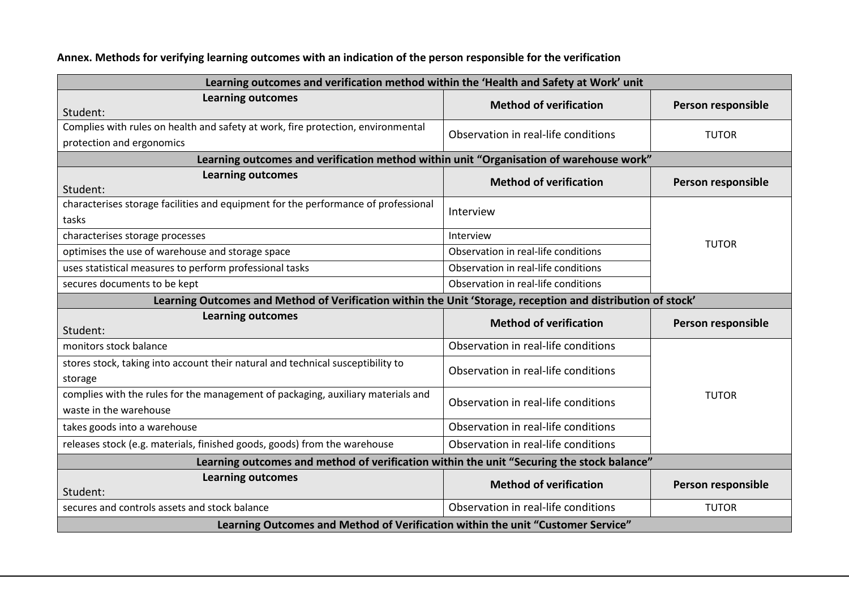## **Annex. Methods for verifying learning outcomes with an indication of the person responsible for the verification**

| Learning outcomes and verification method within the 'Health and Safety at Work' unit                       |                                     |                    |  |
|-------------------------------------------------------------------------------------------------------------|-------------------------------------|--------------------|--|
| <b>Learning outcomes</b><br>Student:                                                                        | <b>Method of verification</b>       | Person responsible |  |
| Complies with rules on health and safety at work, fire protection, environmental                            | Observation in real-life conditions | <b>TUTOR</b>       |  |
| protection and ergonomics                                                                                   |                                     |                    |  |
| Learning outcomes and verification method within unit "Organisation of warehouse work"                      |                                     |                    |  |
| <b>Learning outcomes</b><br>Student:                                                                        | <b>Method of verification</b>       | Person responsible |  |
| characterises storage facilities and equipment for the performance of professional                          | Interview                           |                    |  |
| tasks                                                                                                       |                                     |                    |  |
| characterises storage processes                                                                             | Interview                           | <b>TUTOR</b>       |  |
| optimises the use of warehouse and storage space                                                            | Observation in real-life conditions |                    |  |
| uses statistical measures to perform professional tasks                                                     | Observation in real-life conditions |                    |  |
| secures documents to be kept                                                                                | Observation in real-life conditions |                    |  |
| Learning Outcomes and Method of Verification within the Unit 'Storage, reception and distribution of stock' |                                     |                    |  |
| <b>Learning outcomes</b><br>Student:                                                                        | <b>Method of verification</b>       | Person responsible |  |
| monitors stock balance                                                                                      | Observation in real-life conditions |                    |  |
| stores stock, taking into account their natural and technical susceptibility to<br>storage                  | Observation in real-life conditions |                    |  |
| complies with the rules for the management of packaging, auxiliary materials and<br>waste in the warehouse  | Observation in real-life conditions | <b>TUTOR</b>       |  |
| takes goods into a warehouse                                                                                | Observation in real-life conditions |                    |  |
| releases stock (e.g. materials, finished goods, goods) from the warehouse                                   | Observation in real-life conditions |                    |  |
| Learning outcomes and method of verification within the unit "Securing the stock balance"                   |                                     |                    |  |
| <b>Learning outcomes</b>                                                                                    | <b>Method of verification</b>       | Person responsible |  |
| Student:                                                                                                    |                                     |                    |  |
| secures and controls assets and stock balance                                                               | Observation in real-life conditions | <b>TUTOR</b>       |  |
| Learning Outcomes and Method of Verification within the unit "Customer Service"                             |                                     |                    |  |